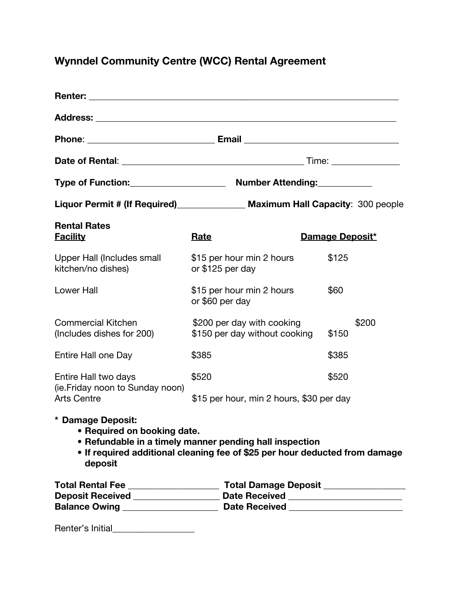# **Wynndel Community Centre (WCC) Rental Agreement**

|                                                                                  | Liquor Permit # (If Required)________________ Maximum Hall Capacity: 300 people                                                        |                 |
|----------------------------------------------------------------------------------|----------------------------------------------------------------------------------------------------------------------------------------|-----------------|
| <b>Rental Rates</b><br><u>Facility</u>                                           | <b>Rate</b>                                                                                                                            | Damage Deposit* |
| Upper Hall (Includes small<br>kitchen/no dishes)                                 | \$15 per hour min 2 hours<br>or \$125 per day                                                                                          | \$125           |
| <b>Lower Hall</b>                                                                | \$15 per hour min 2 hours<br>or \$60 per day                                                                                           | \$60            |
| <b>Commercial Kitchen</b><br>(Includes dishes for 200)                           | \$200 per day with cooking<br>\$150 per day without cooking                                                                            | \$200<br>\$150  |
| Entire Hall one Day                                                              | \$385                                                                                                                                  | \$385           |
| Entire Hall two days<br>(ie. Friday noon to Sunday noon)<br><b>Arts Centre</b>   | \$520                                                                                                                                  | \$520           |
|                                                                                  | \$15 per hour, min 2 hours, \$30 per day                                                                                               |                 |
| * Damage Deposit:<br>• Required on booking date.<br>deposit                      | • Refundable in a timely manner pending hall inspection<br>• If required additional cleaning fee of \$25 per hour deducted from damage |                 |
|                                                                                  |                                                                                                                                        |                 |
| Deposit Received ____________________ Date Received ____________________________ |                                                                                                                                        |                 |
|                                                                                  |                                                                                                                                        |                 |

Renter's Initial\_\_\_\_\_\_\_\_\_\_\_\_\_\_\_\_\_\_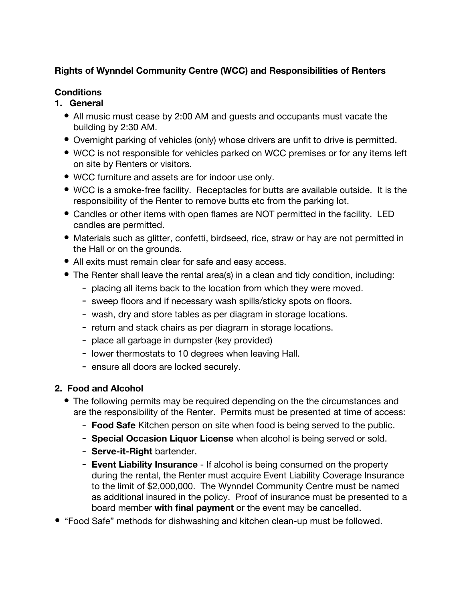## **Rights of Wynndel Community Centre (WCC) and Responsibilities of Renters**

## **Conditions**

- **1. General**
	- All music must cease by 2:00 AM and guests and occupants must vacate the building by 2:30 AM.
	- Overnight parking of vehicles (only) whose drivers are unfit to drive is permitted.
	- WCC is not responsible for vehicles parked on WCC premises or for any items left on site by Renters or visitors.
	- WCC furniture and assets are for indoor use only.
	- WCC is a smoke-free facility. Receptacles for butts are available outside. It is the responsibility of the Renter to remove butts etc from the parking lot.
	- Candles or other items with open flames are NOT permitted in the facility. LED candles are permitted.
	- Materials such as glitter, confetti, birdseed, rice, straw or hay are not permitted in the Hall or on the grounds.
	- All exits must remain clear for safe and easy access.
	- The Renter shall leave the rental area(s) in a clean and tidy condition, including:
		- placing all items back to the location from which they were moved.
		- sweep floors and if necessary wash spills/sticky spots on floors.
		- wash, dry and store tables as per diagram in storage locations.
		- return and stack chairs as per diagram in storage locations.
		- place all garbage in dumpster (key provided)
		- lower thermostats to 10 degrees when leaving Hall.
		- ensure all doors are locked securely.

# **2. Food and Alcohol**

- The following permits may be required depending on the the circumstances and are the responsibility of the Renter. Permits must be presented at time of access:
	- **Food Safe** Kitchen person on site when food is being served to the public.
	- **Special Occasion Liquor License** when alcohol is being served or sold.
	- **Serve-it-Right** bartender.
	- **Event Liability Insurance** If alcohol is being consumed on the property during the rental, the Renter must acquire Event Liability Coverage Insurance to the limit of \$2,000,000. The Wynndel Community Centre must be named as additional insured in the policy. Proof of insurance must be presented to a board member **with final payment** or the event may be cancelled.
- "Food Safe" methods for dishwashing and kitchen clean-up must be followed.